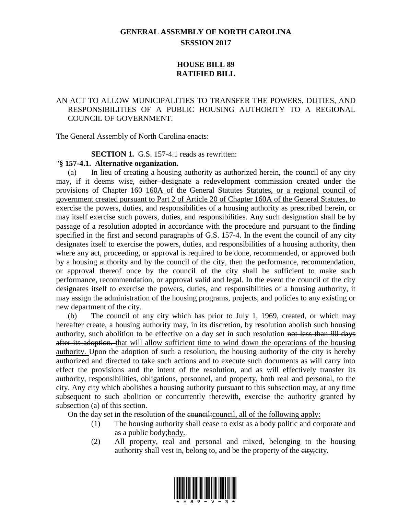# **GENERAL ASSEMBLY OF NORTH CAROLINA SESSION 2017**

## **HOUSE BILL 89 RATIFIED BILL**

## AN ACT TO ALLOW MUNICIPALITIES TO TRANSFER THE POWERS, DUTIES, AND RESPONSIBILITIES OF A PUBLIC HOUSING AUTHORITY TO A REGIONAL COUNCIL OF GOVERNMENT.

The General Assembly of North Carolina enacts:

#### **SECTION 1.** G.S. 157-4.1 reads as rewritten:

#### "**§ 157-4.1. Alternative organization.**

(a) In lieu of creating a housing authority as authorized herein, the council of any city may, if it deems wise, either designate a redevelopment commission created under the provisions of Chapter 160–160A of the General Statutes–Statutes, or a regional council of government created pursuant to Part 2 of Article 20 of Chapter 160A of the General Statutes, to exercise the powers, duties, and responsibilities of a housing authority as prescribed herein, or may itself exercise such powers, duties, and responsibilities. Any such designation shall be by passage of a resolution adopted in accordance with the procedure and pursuant to the finding specified in the first and second paragraphs of G.S. 157-4. In the event the council of any city designates itself to exercise the powers, duties, and responsibilities of a housing authority, then where any act, proceeding, or approval is required to be done, recommended, or approved both by a housing authority and by the council of the city, then the performance, recommendation, or approval thereof once by the council of the city shall be sufficient to make such performance, recommendation, or approval valid and legal. In the event the council of the city designates itself to exercise the powers, duties, and responsibilities of a housing authority, it may assign the administration of the housing programs, projects, and policies to any existing or new department of the city.

(b) The council of any city which has prior to July 1, 1969, created, or which may hereafter create, a housing authority may, in its discretion, by resolution abolish such housing authority, such abolition to be effective on a day set in such resolution not less than 90 days after its adoption. that will allow sufficient time to wind down the operations of the housing authority. Upon the adoption of such a resolution, the housing authority of the city is hereby authorized and directed to take such actions and to execute such documents as will carry into effect the provisions and the intent of the resolution, and as will effectively transfer its authority, responsibilities, obligations, personnel, and property, both real and personal, to the city. Any city which abolishes a housing authority pursuant to this subsection may, at any time subsequent to such abolition or concurrently therewith, exercise the authority granted by subsection (a) of this section.

On the day set in the resolution of the council: council, all of the following apply:

- (1) The housing authority shall cease to exist as a body politic and corporate and as a public body; body.
- (2) All property, real and personal and mixed, belonging to the housing authority shall vest in, belong to, and be the property of the eity; city.

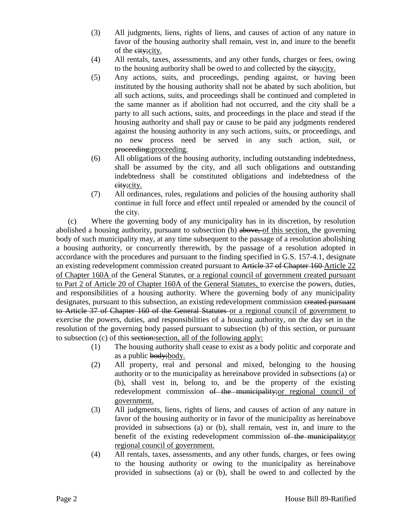- (3) All judgments, liens, rights of liens, and causes of action of any nature in favor of the housing authority shall remain, vest in, and inure to the benefit of the eity; city.
- (4) All rentals, taxes, assessments, and any other funds, charges or fees, owing to the housing authority shall be owed to and collected by the city;city.
- (5) Any actions, suits, and proceedings, pending against, or having been instituted by the housing authority shall not be abated by such abolition, but all such actions, suits, and proceedings shall be continued and completed in the same manner as if abolition had not occurred, and the city shall be a party to all such actions, suits, and proceedings in the place and stead if the housing authority and shall pay or cause to be paid any judgments rendered against the housing authority in any such actions, suits, or proceedings, and no new process need be served in any such action, suit, or proceeding; proceeding.
- (6) All obligations of the housing authority, including outstanding indebtedness, shall be assumed by the city, and all such obligations and outstanding indebtedness shall be constituted obligations and indebtedness of the eity; city.
- (7) All ordinances, rules, regulations and policies of the housing authority shall continue in full force and effect until repealed or amended by the council of the city.

(c) Where the governing body of any municipality has in its discretion, by resolution abolished a housing authority, pursuant to subsection (b) above, of this section, the governing body of such municipality may, at any time subsequent to the passage of a resolution abolishing a housing authority, or concurrently therewith, by the passage of a resolution adopted in accordance with the procedures and pursuant to the finding specified in G.S. 157-4.1, designate an existing redevelopment commission created pursuant to Article 37 of Chapter 160 Article 22 of Chapter 160A of the General Statutes, or a regional council of government created pursuant to Part 2 of Article 20 of Chapter 160A of the General Statutes, to exercise the powers, duties, and responsibilities of a housing authority. Where the governing body of any municipality designates, pursuant to this subsection, an existing redevelopment commission ereated pursuant to Article 37 of Chapter 160 of the General Statutes or a regional council of government to exercise the powers, duties, and responsibilities of a housing authority, on the day set in the resolution of the governing body passed pursuant to subsection (b) of this section, or pursuant to subsection (c) of this section:section, all of the following apply:

- (1) The housing authority shall cease to exist as a body politic and corporate and as a public body; body.
- (2) All property, real and personal and mixed, belonging to the housing authority or to the municipality as hereinabove provided in subsections (a) or (b), shall vest in, belong to, and be the property of the existing redevelopment commission of the municipality; or regional council of government.
- (3) All judgments, liens, rights of liens, and causes of action of any nature in favor of the housing authority or in favor of the municipality as hereinabove provided in subsections (a) or (b), shall remain, vest in, and inure to the benefit of the existing redevelopment commission of the municipality;or regional council of government.
- (4) All rentals, taxes, assessments, and any other funds, charges, or fees owing to the housing authority or owing to the municipality as hereinabove provided in subsections (a) or (b), shall be owed to and collected by the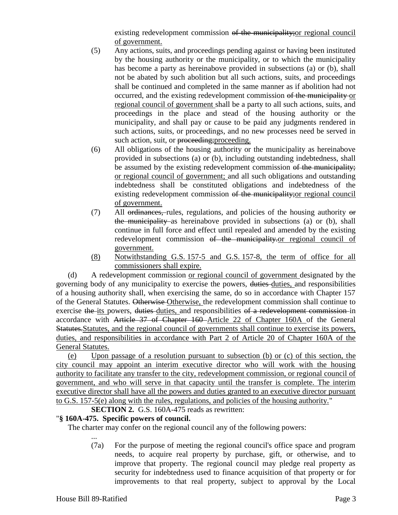existing redevelopment commission of the municipality;or regional council of government.

- (5) Any actions, suits, and proceedings pending against or having been instituted by the housing authority or the municipality, or to which the municipality has become a party as hereinabove provided in subsections (a) or (b), shall not be abated by such abolition but all such actions, suits, and proceedings shall be continued and completed in the same manner as if abolition had not occurred, and the existing redevelopment commission of the municipality or regional council of government shall be a party to all such actions, suits, and proceedings in the place and stead of the housing authority or the municipality, and shall pay or cause to be paid any judgments rendered in such actions, suits, or proceedings, and no new processes need be served in such action, suit, or proceeding; proceeding.
- (6) All obligations of the housing authority or the municipality as hereinabove provided in subsections (a) or (b), including outstanding indebtedness, shall be assumed by the existing redevelopment commission of the municipality; or regional council of government; and all such obligations and outstanding indebtedness shall be constituted obligations and indebtedness of the existing redevelopment commission of the municipality;or regional council of government.
- (7) All ordinances, rules, regulations, and policies of the housing authority or the municipality as hereinabove provided in subsections (a) or (b), shall continue in full force and effect until repealed and amended by the existing redevelopment commission of the municipality-or regional council of government.
- (8) Notwithstanding G.S. 157-5 and G.S. 157-8, the term of office for all commissioners shall expire.

(d) A redevelopment commission or regional council of government designated by the governing body of any municipality to exercise the powers, duties duties, and responsibilities of a housing authority shall, when exercising the same, do so in accordance with Chapter 157 of the General Statutes. Otherwise Otherwise, the redevelopment commission shall continue to exercise the its powers, duties duties, and responsibilities of a redevelopment commission in accordance with Article 37 of Chapter 160 Article 22 of Chapter 160A of the General Statutes.Statutes, and the regional council of governments shall continue to exercise its powers, duties, and responsibilities in accordance with Part 2 of Article 20 of Chapter 160A of the General Statutes.

(e) Upon passage of a resolution pursuant to subsection (b) or (c) of this section, the city council may appoint an interim executive director who will work with the housing authority to facilitate any transfer to the city, redevelopment commission, or regional council of government, and who will serve in that capacity until the transfer is complete. The interim executive director shall have all the powers and duties granted to an executive director pursuant to G.S. 157-5(e) along with the rules, regulations, and policies of the housing authority."

**SECTION 2.** G.S. 160A-475 reads as rewritten:

## "**§ 160A-475. Specific powers of council.**

The charter may confer on the regional council any of the following powers:

... (7a) For the purpose of meeting the regional council's office space and program needs, to acquire real property by purchase, gift, or otherwise, and to improve that property. The regional council may pledge real property as security for indebtedness used to finance acquisition of that property or for improvements to that real property, subject to approval by the Local